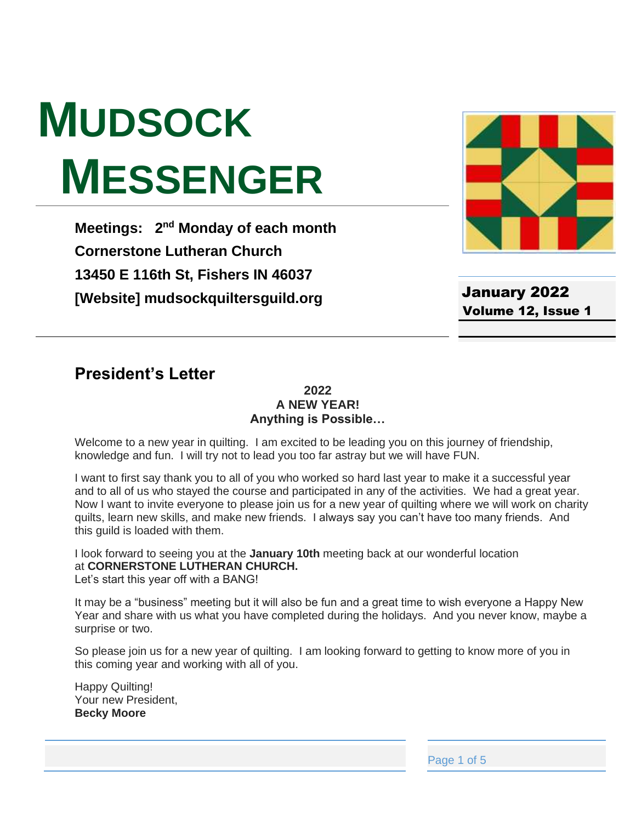# **MUDSOCK MESSENGER**

**Meetings: 2<sup>nd</sup> Monday of each month Cornerstone Lutheran Church 13450 E 116th St, Fishers IN 46037 [Website] mudsockquiltersguild.org**



January 2022 Volume 12, Issue 1

# **President's Letter**

#### **2022 A NEW YEAR! Anything is Possible…**

Welcome to a new year in quilting. I am excited to be leading you on this journey of friendship, knowledge and fun. I will try not to lead you too far astray but we will have FUN.

I want to first say thank you to all of you who worked so hard last year to make it a successful year and to all of us who stayed the course and participated in any of the activities. We had a great year. Now I want to invite everyone to please join us for a new year of quilting where we will work on charity quilts, learn new skills, and make new friends. I always say you can't have too many friends. And this guild is loaded with them.

I look forward to seeing you at the **January 10th** meeting back at our wonderful location at **CORNERSTONE LUTHERAN CHURCH.**

Let's start this year off with a BANG!

It may be a "business" meeting but it will also be fun and a great time to wish everyone a Happy New Year and share with us what you have completed during the holidays. And you never know, maybe a surprise or two.

So please join us for a new year of quilting. I am looking forward to getting to know more of you in this coming year and working with all of you.

Happy Quilting! Your new President, **Becky Moore**

Page 1 of 5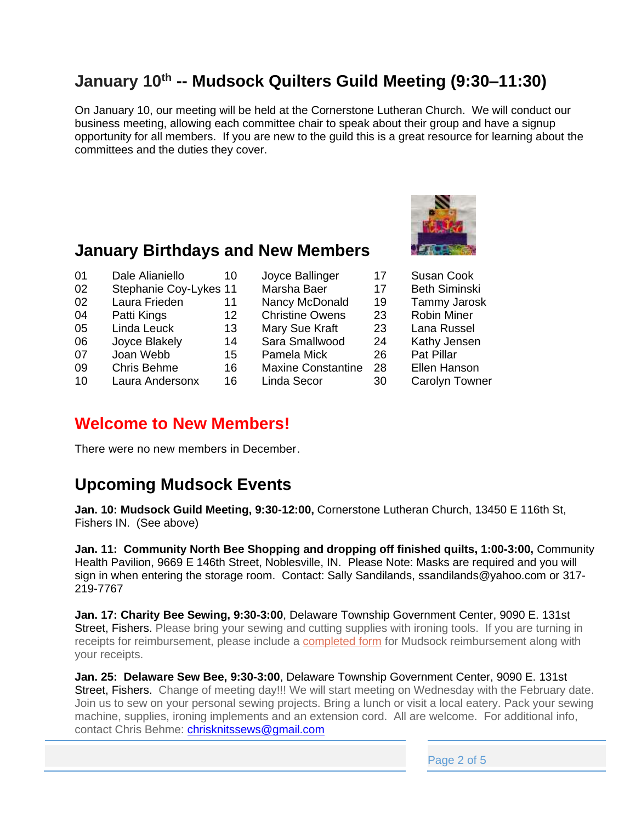# **January 10th -- Mudsock Quilters Guild Meeting (9:30–11:30)**

On January 10, our meeting will be held at the Cornerstone Lutheran Church. We will conduct our business meeting, allowing each committee chair to speak about their group and have a signup opportunity for all members. If you are new to the guild this is a great resource for learning about the committees and the duties they cover.



- 01 Dale Alianiello 10 Joyce Ballinger 17 Susan Cook
- 02 Stephanie Coy-Lykes 11 Marsha Baer 17 Beth Siminski
- 
- 
- 
- 06 Joyce Blakely 14 Sara Smallwood 24 Kathy Jensen
- 07 Joan Webb 15 Pamela Mick 26 Pat Pillar
- 09 Chris Behme 16 Maxine Constantine 28 Ellen Hanson
- 10 Laura Andersonx 16 Linda Secor 30 Carolyn Towner
- 02 Laura Frieden 11 Nancy McDonald 19 Tammy Jarosk 04 Patti Kings 12 Christine Owens 23 Robin Miner 05 Linda Leuck 13 Mary Sue Kraft 23 Lana Russel
	-
	-

## **Welcome to New Members!**

There were no new members in December.

# **Upcoming Mudsock Events**

**Jan. 10: Mudsock Guild Meeting, 9:30-12:00,** Cornerstone Lutheran Church, 13450 E 116th St, Fishers IN. (See above)

**Jan. 11: Community North Bee Shopping and dropping off finished quilts, 1:00-3:00,** Community Health Pavilion, 9669 E 146th Street, Noblesville, IN. Please Note: Masks are required and you will sign in when entering the storage room. Contact: Sally Sandilands, ssandilands@yahoo.com or 317- 219-7767

**Jan. 17: Charity Bee Sewing, 9:30-3:00**, Delaware Township Government Center, 9090 E. 131st Street, Fishers. Please bring your sewing and cutting supplies with ironing tools. If you are turning in receipts for reimbursement, please include a [completed form](https://mudsockquiltersguild.org/wp-content/uploads/2019/10/expense-reimb-form.pdf) for Mudsock reimbursement along with your receipts.

**Jan. 25: Delaware Sew Bee, 9:30-3:00**, Delaware Township Government Center, 9090 E. 131st Street, Fishers. Change of meeting day!!! We will start meeting on Wednesday with the February date. Join us to sew on your personal sewing projects. Bring a lunch or visit a local eatery. Pack your sewing machine, supplies, ironing implements and an extension cord. All are welcome. For additional info, contact Chris Behme: [chrisknitssews@gmail.com](mailto:chrisknitssews@gmail.com)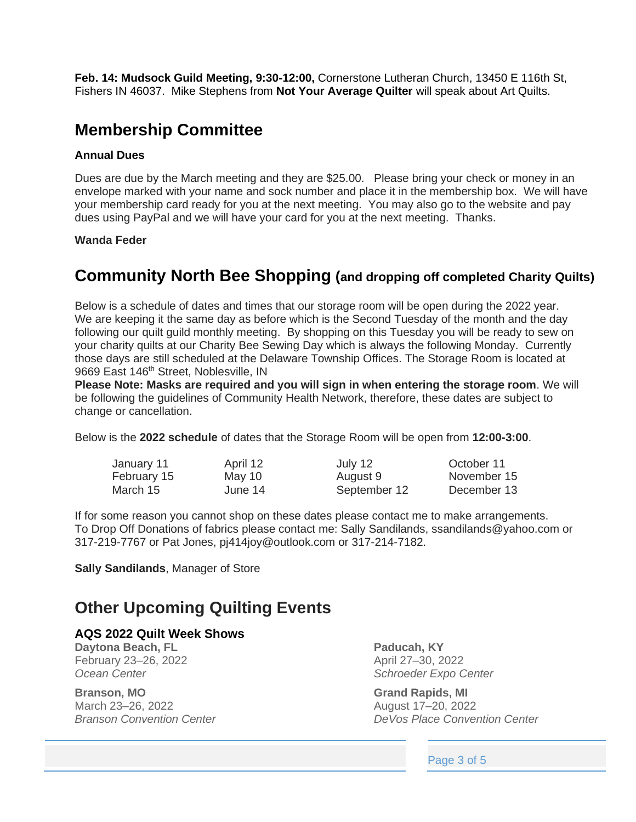**Feb. 14: Mudsock Guild Meeting, 9:30-12:00,** Cornerstone Lutheran Church, 13450 E 116th St, Fishers IN 46037. Mike Stephens from **Not Your Average Quilter** will speak about Art Quilts.

## **Membership Committee**

#### **Annual Dues**

Dues are due by the March meeting and they are \$25.00. Please bring your check or money in an envelope marked with your name and sock number and place it in the membership box. We will have your membership card ready for you at the next meeting. You may also go to the website and pay dues using PayPal and we will have your card for you at the next meeting. Thanks.

#### **Wanda Feder**

### **Community North Bee Shopping (and dropping off completed Charity Quilts)**

Below is a schedule of dates and times that our storage room will be open during the 2022 year. We are keeping it the same day as before which is the Second Tuesday of the month and the day following our quilt guild monthly meeting. By shopping on this Tuesday you will be ready to sew on your charity quilts at our Charity Bee Sewing Day which is always the following Monday. Currently those days are still scheduled at the Delaware Township Offices. The Storage Room is located at 9669 East 146<sup>th</sup> Street, Noblesville, IN

**Please Note: Masks are required and you will sign in when entering the storage room**. We will be following the guidelines of Community Health Network, therefore, these dates are subject to change or cancellation.

Below is the **2022 schedule** of dates that the Storage Room will be open from **12:00-3:00**.

| January 11  | April 12 | July 12      | October 11  |
|-------------|----------|--------------|-------------|
| February 15 | May 10   | August 9     | November 15 |
| March 15    | June 14  | September 12 | December 13 |

If for some reason you cannot shop on these dates please contact me to make arrangements. To Drop Off Donations of fabrics please contact me: Sally Sandilands, ssandilands@yahoo.com or 317-219-7767 or Pat Jones, pj414joy@outlook.com or 317-214-7182.

**Sally Sandilands**, Manager of Store

# **Other Upcoming Quilting Events**

#### **AQS 2022 Quilt Week Shows**

**Daytona Beach, FL** February 23–26, 2022 *Ocean Center*

**Branson, MO** March 23–26, 2022 *Branson Convention Center* **Paducah, KY** April 27–30, 2022 *Schroeder Expo Center*

**Grand Rapids, MI** August 17–20, 2022 *DeVos Place Convention Center*

Page 3 of 5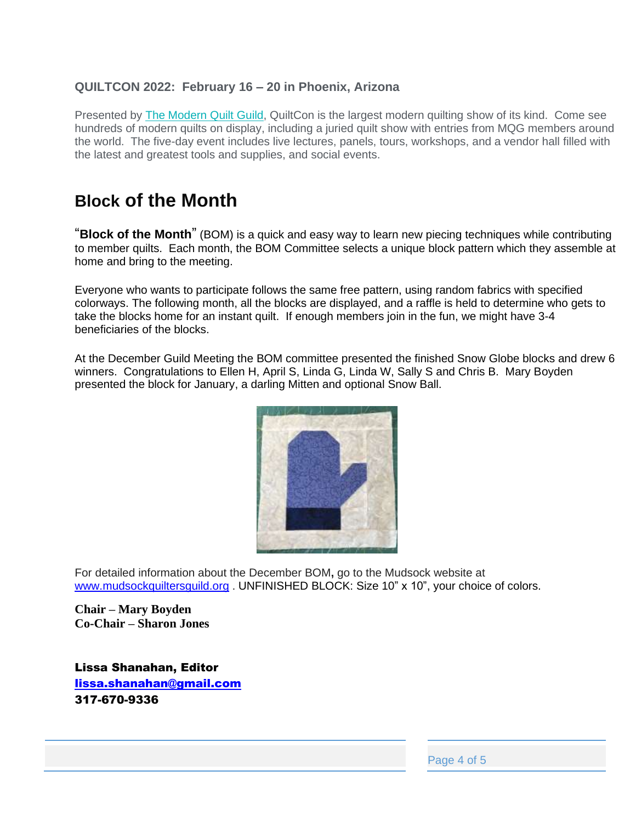#### **QUILTCON 2022: February 16 – 20 in Phoenix, Arizona**

Presented by [The Modern Quilt Guild,](https://www.themodernquiltguild.com/) QuiltCon is the largest modern quilting show of its kind. Come see hundreds of modern quilts on display, including a juried quilt show with entries from MQG members around the world. The five-day event includes live lectures, panels, tours, workshops, and a vendor hall filled with the latest and greatest tools and supplies, and social events.

# **Block of the Month**

"**Block of the Month**" (BOM) is a quick and easy way to learn new piecing techniques while contributing to member quilts. Each month, the BOM Committee selects a unique block pattern which they assemble at home and bring to the meeting.

Everyone who wants to participate follows the same free pattern, using random fabrics with specified colorways. The following month, all the blocks are displayed, and a raffle is held to determine who gets to take the blocks home for an instant quilt. If enough members join in the fun, we might have 3-4 beneficiaries of the blocks.

At the December Guild Meeting the BOM committee presented the finished Snow Globe blocks and drew 6 winners. Congratulations to Ellen H, April S, Linda G, Linda W, Sally S and Chris B. Mary Boyden presented the block for January, a darling Mitten and optional Snow Ball.



For detailed information about the December BOM**,** go to the Mudsock website at [www.mudsockquiltersguild.org](http://www.mudsockquiltersguild.org/) . UNFINISHED BLOCK: Size 10" x 10", your choice of colors.

**Chair – Mary Boyden Co-Chair – Sharon Jones**

Lissa Shanahan, Editor [lissa.shanahan@gmail.com](mailto:lissa.shanahan@gmail.com) 317-670-9336

Page 4 of 5